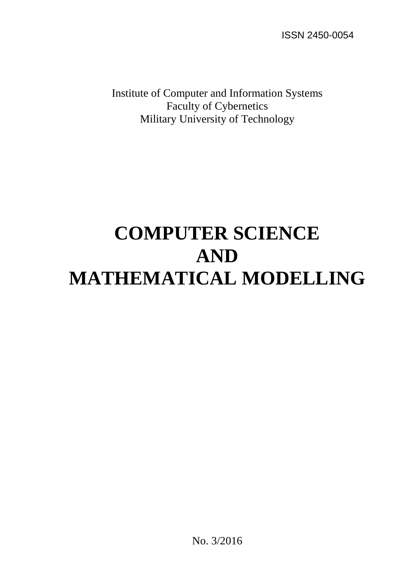ISSN 2450-0054

Institute of Computer and Information Systems Faculty of Cybernetics Military University of Technology

# **COMPUTER SCIENCE AND MATHEMATICAL MODELLING**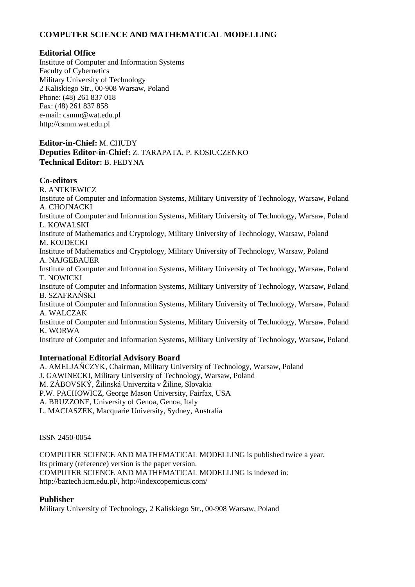# **COMPUTER SCIENCE AND MATHEMATICAL MODELLING**

## **Editorial Office**

Institute of Computer and Information Systems Faculty of Cybernetics Military University of Technology 2 Kaliskiego Str., 00-908 Warsaw, Poland Phone: (48) 261 837 018 Fax: (48) 261 837 858 e-mail: csmm@wat.edu.pl http://csmm.wat.edu.pl

## **Editor-in-Chief:** M. CHUDY **Deputies Editor-in-Chief:** Z. TARAPATA, P. KOSIUCZENKO **Technical Editor:** B. FEDYNA

# **Co-editors**

R. ANTKIEWICZ Institute of Computer and Information Systems, Military University of Technology, Warsaw, Poland A. CHOJNACKI Institute of Computer and Information Systems, Military University of Technology, Warsaw, Poland L. KOWALSKI Institute of Mathematics and Cryptology, Military University of Technology, Warsaw, Poland M. KOJDECKI Institute of Mathematics and Cryptology, Military University of Technology, Warsaw, Poland A. NAJGEBAUER Institute of Computer and Information Systems, Military University of Technology, Warsaw, Poland T. NOWICKI Institute of Computer and Information Systems, Military University of Technology, Warsaw, Poland B. SZAFRAŃSKI Institute of Computer and Information Systems, Military University of Technology, Warsaw, Poland A. WALCZAK Institute of Computer and Information Systems, Military University of Technology, Warsaw, Poland K. WORWA Institute of Computer and Information Systems, Military University of Technology, Warsaw, Poland

### **International Editorial Advisory Board**

A. AMELJAŃCZYK, Chairman, Military University of Technology, Warsaw, Poland J. GAWINECKI, Military University of Technology, Warsaw, Poland M. ZÁBOVSKÝ, Žilinská Univerzita v Žiline, Slovakia P.W. PACHOWICZ, George Mason University, Fairfax, USA A. BRUZZONE, University of Genoa, Genoa, Italy L. MACIASZEK, Macquarie University, Sydney, Australia

ISSN 2450-0054

COMPUTER SCIENCE AND MATHEMATICAL MODELLING is published twice a year. Its primary (reference) version is the paper version. COMPUTER SCIENCE AND MATHEMATICAL MODELLING is indexed in: http://baztech.icm.edu.pl/, http://indexcopernicus.com/

### **Publisher**

Military University of Technology, 2 Kaliskiego Str., 00-908 Warsaw, Poland